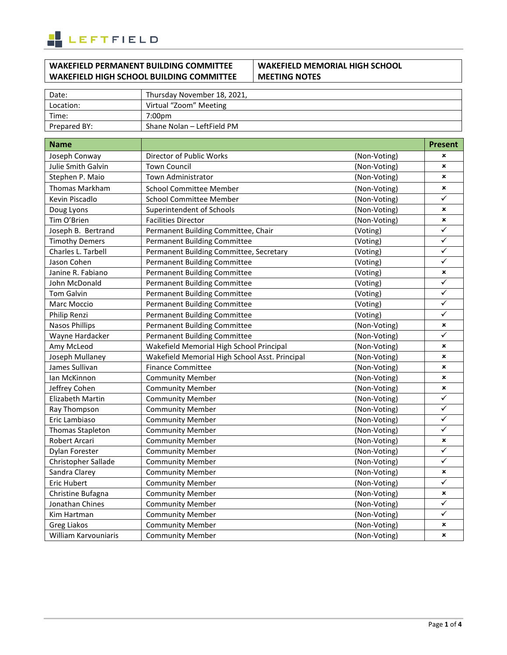

## **WAKEFIELD PERMANENT BUILDING COMMITTEE WAKEFIELD HIGH SCHOOL BUILDING COMMITTEE**

#### **WAKEFIELD MEMORIAL HIGH SCHOOL MEETING NOTES**

| Date:        | Thursday November 18, 2021, |
|--------------|-----------------------------|
| Location:    | Virtual "Zoom" Meeting      |
| Time:        | 7:00pm                      |
| Prepared BY: | Shane Nolan – LeftField PM  |

| <b>Name</b>           |                                                |              | <b>Present</b> |
|-----------------------|------------------------------------------------|--------------|----------------|
| Joseph Conway         | Director of Public Works                       | (Non-Voting) | ×              |
| Julie Smith Galvin    | <b>Town Council</b>                            | (Non-Voting) | $\pmb{\times}$ |
| Stephen P. Maio       | Town Administrator                             | (Non-Voting) | $\pmb{\times}$ |
| Thomas Markham        | <b>School Committee Member</b>                 | (Non-Voting) | ×              |
| Kevin Piscadlo        | <b>School Committee Member</b>                 | (Non-Voting) | ✓              |
| Doug Lyons            | Superintendent of Schools                      | (Non-Voting) | ×              |
| Tim O'Brien           | <b>Facilities Director</b>                     | (Non-Voting) | $\pmb{\times}$ |
| Joseph B. Bertrand    | Permanent Building Committee, Chair            | (Voting)     | ✓              |
| <b>Timothy Demers</b> | <b>Permanent Building Committee</b>            | (Voting)     | ✓              |
| Charles L. Tarbell    | Permanent Building Committee, Secretary        | (Voting)     | ✓              |
| Jason Cohen           | <b>Permanent Building Committee</b>            | (Voting)     | ✓              |
| Janine R. Fabiano     | <b>Permanent Building Committee</b>            | (Voting)     | ×              |
| John McDonald         | <b>Permanent Building Committee</b>            | (Voting)     | ✓              |
| <b>Tom Galvin</b>     | <b>Permanent Building Committee</b>            | (Voting)     | ✓              |
| Marc Moccio           | <b>Permanent Building Committee</b>            | (Voting)     | ✓              |
| Philip Renzi          | <b>Permanent Building Committee</b>            | (Voting)     | ✓              |
| <b>Nasos Phillips</b> | <b>Permanent Building Committee</b>            | (Non-Voting) | ×              |
| Wayne Hardacker       | <b>Permanent Building Committee</b>            | (Non-Voting) | ✓              |
| Amy McLeod            | Wakefield Memorial High School Principal       | (Non-Voting) | ×              |
| Joseph Mullaney       | Wakefield Memorial High School Asst. Principal | (Non-Voting) | $\pmb{\times}$ |
| James Sullivan        | <b>Finance Committee</b>                       | (Non-Voting) | $\pmb{\times}$ |
| lan McKinnon          | <b>Community Member</b>                        | (Non-Voting) | $\pmb{\times}$ |
| Jeffrey Cohen         | <b>Community Member</b>                        | (Non-Voting) | ×              |
| Elizabeth Martin      | <b>Community Member</b>                        | (Non-Voting) | ✓              |
| Ray Thompson          | <b>Community Member</b>                        | (Non-Voting) | ✓              |
| Eric Lambiaso         | <b>Community Member</b>                        | (Non-Voting) | ✓              |
| Thomas Stapleton      | <b>Community Member</b>                        | (Non-Voting) | ✓              |
| Robert Arcari         | <b>Community Member</b>                        | (Non-Voting) | $\pmb{\times}$ |
| Dylan Forester        | <b>Community Member</b>                        | (Non-Voting) | ✓              |
| Christopher Sallade   | <b>Community Member</b>                        | (Non-Voting) | ✓              |
| Sandra Clarey         | <b>Community Member</b>                        | (Non-Voting) | ×              |
| <b>Eric Hubert</b>    | <b>Community Member</b>                        | (Non-Voting) | $\checkmark$   |
| Christine Bufagna     | <b>Community Member</b>                        | (Non-Voting) | ×              |
| Jonathan Chines       | <b>Community Member</b>                        | (Non-Voting) | ✓              |
| Kim Hartman           | <b>Community Member</b>                        | (Non-Voting) | ✓              |
| Greg Liakos           | <b>Community Member</b>                        | (Non-Voting) | ×              |
| William Karvouniaris  | <b>Community Member</b>                        | (Non-Voting) | ×              |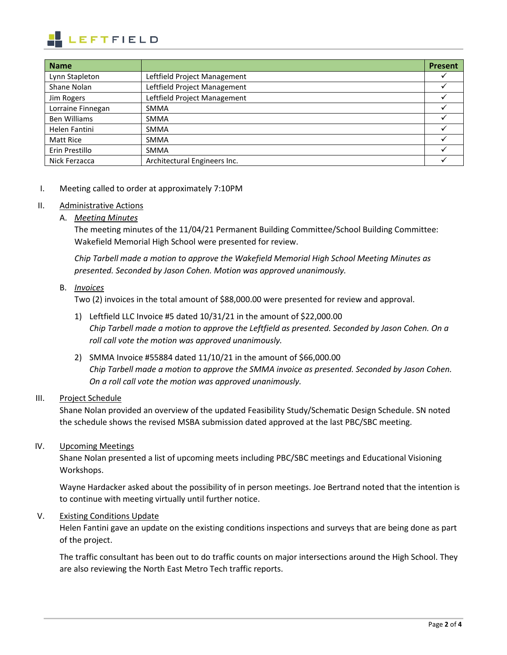

| <b>Name</b>         |                              | <b>Present</b> |
|---------------------|------------------------------|----------------|
| Lynn Stapleton      | Leftfield Project Management |                |
| Shane Nolan         | Leftfield Project Management |                |
| Jim Rogers          | Leftfield Project Management |                |
| Lorraine Finnegan   | <b>SMMA</b>                  |                |
| <b>Ben Williams</b> | <b>SMMA</b>                  |                |
| Helen Fantini       | <b>SMMA</b>                  |                |
| Matt Rice           | <b>SMMA</b>                  |                |
| Erin Prestillo      | <b>SMMA</b>                  |                |
| Nick Ferzacca       | Architectural Engineers Inc. |                |

I. Meeting called to order at approximately 7:10PM

#### II. Administrative Actions

A. *Meeting Minutes* 

The meeting minutes of the 11/04/21 Permanent Building Committee/School Building Committee: Wakefield Memorial High School were presented for review.

*Chip Tarbell made a motion to approve the Wakefield Memorial High School Meeting Minutes as presented. Seconded by Jason Cohen. Motion was approved unanimously.* 

#### B. *Invoices*

Two (2) invoices in the total amount of \$88,000.00 were presented for review and approval.

- 1) Leftfield LLC Invoice #5 dated 10/31/21 in the amount of \$22,000.00 *Chip Tarbell made a motion to approve the Leftfield as presented. Seconded by Jason Cohen. On a roll call vote the motion was approved unanimously.*
- 2) SMMA Invoice #55884 dated 11/10/21 in the amount of \$66,000.00 *Chip Tarbell made a motion to approve the SMMA invoice as presented. Seconded by Jason Cohen. On a roll call vote the motion was approved unanimously.*

## III. Project Schedule

Shane Nolan provided an overview of the updated Feasibility Study/Schematic Design Schedule. SN noted the schedule shows the revised MSBA submission dated approved at the last PBC/SBC meeting.

## IV. Upcoming Meetings

Shane Nolan presented a list of upcoming meets including PBC/SBC meetings and Educational Visioning Workshops.

Wayne Hardacker asked about the possibility of in person meetings. Joe Bertrand noted that the intention is to continue with meeting virtually until further notice.

## V. Existing Conditions Update

Helen Fantini gave an update on the existing conditions inspections and surveys that are being done as part of the project.

The traffic consultant has been out to do traffic counts on major intersections around the High School. They are also reviewing the North East Metro Tech traffic reports.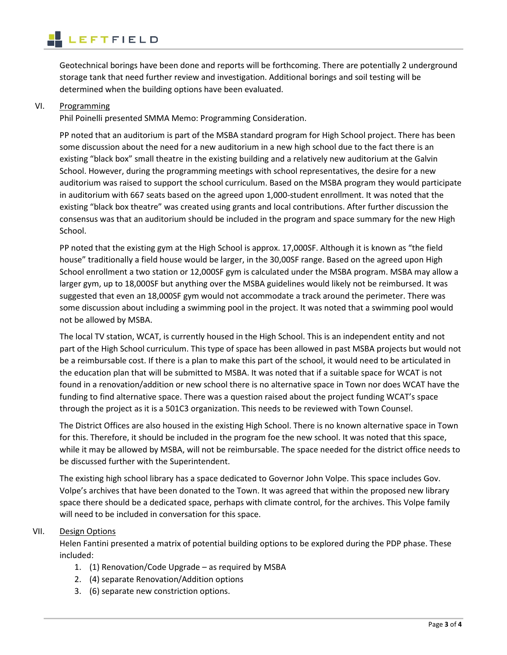Geotechnical borings have been done and reports will be forthcoming. There are potentially 2 underground storage tank that need further review and investigation. Additional borings and soil testing will be determined when the building options have been evaluated.

## VI. Programming

l

Phil Poinelli presented SMMA Memo: Programming Consideration.

PP noted that an auditorium is part of the MSBA standard program for High School project. There has been some discussion about the need for a new auditorium in a new high school due to the fact there is an existing "black box" small theatre in the existing building and a relatively new auditorium at the Galvin School. However, during the programming meetings with school representatives, the desire for a new auditorium was raised to support the school curriculum. Based on the MSBA program they would participate in auditorium with 667 seats based on the agreed upon 1,000-student enrollment. It was noted that the existing "black box theatre" was created using grants and local contributions. After further discussion the consensus was that an auditorium should be included in the program and space summary for the new High School.

PP noted that the existing gym at the High School is approx. 17,000SF. Although it is known as "the field house" traditionally a field house would be larger, in the 30,00SF range. Based on the agreed upon High School enrollment a two station or 12,000SF gym is calculated under the MSBA program. MSBA may allow a larger gym, up to 18,000SF but anything over the MSBA guidelines would likely not be reimbursed. It was suggested that even an 18,000SF gym would not accommodate a track around the perimeter. There was some discussion about including a swimming pool in the project. It was noted that a swimming pool would not be allowed by MSBA.

The local TV station, WCAT, is currently housed in the High School. This is an independent entity and not part of the High School curriculum. This type of space has been allowed in past MSBA projects but would not be a reimbursable cost. If there is a plan to make this part of the school, it would need to be articulated in the education plan that will be submitted to MSBA. It was noted that if a suitable space for WCAT is not found in a renovation/addition or new school there is no alternative space in Town nor does WCAT have the funding to find alternative space. There was a question raised about the project funding WCAT's space through the project as it is a 501C3 organization. This needs to be reviewed with Town Counsel.

The District Offices are also housed in the existing High School. There is no known alternative space in Town for this. Therefore, it should be included in the program foe the new school. It was noted that this space, while it may be allowed by MSBA, will not be reimbursable. The space needed for the district office needs to be discussed further with the Superintendent.

The existing high school library has a space dedicated to Governor John Volpe. This space includes Gov. Volpe's archives that have been donated to the Town. It was agreed that within the proposed new library space there should be a dedicated space, perhaps with climate control, for the archives. This Volpe family will need to be included in conversation for this space.

# VII. Design Options

Helen Fantini presented a matrix of potential building options to be explored during the PDP phase. These included:

- 1. (1) Renovation/Code Upgrade as required by MSBA
- 2. (4) separate Renovation/Addition options
- 3. (6) separate new constriction options.